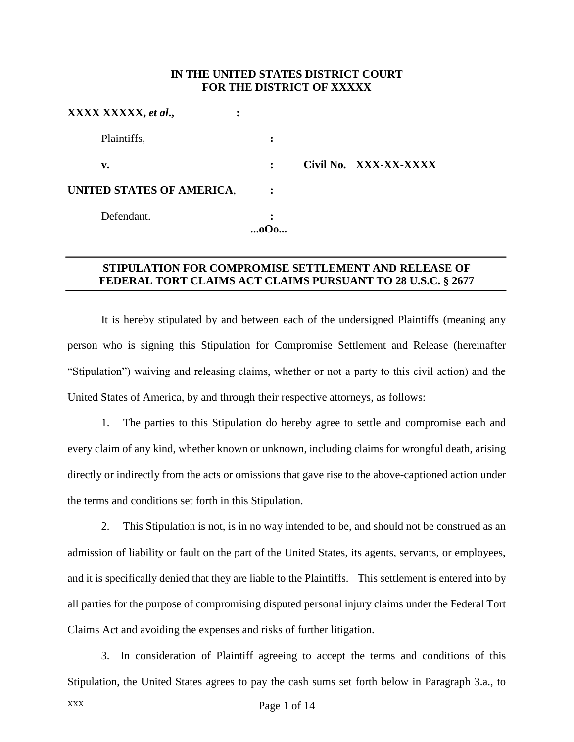## **IN THE UNITED STATES DISTRICT COURT FOR THE DISTRICT OF XXXXX**

| XXXX XXXXX, et al.,<br>٠  |                |                       |
|---------------------------|----------------|-----------------------|
| Plaintiffs,               | :              |                       |
| v.                        | $\ddot{\cdot}$ | Civil No. XXX-XX-XXXX |
| UNITED STATES OF AMERICA, |                |                       |
| Defendant.                | ٠              |                       |
|                           |                |                       |

## **STIPULATION FOR COMPROMISE SETTLEMENT AND RELEASE OF FEDERAL TORT CLAIMS ACT CLAIMS PURSUANT TO 28 U.S.C. § 2677**

It is hereby stipulated by and between each of the undersigned Plaintiffs (meaning any person who is signing this Stipulation for Compromise Settlement and Release (hereinafter "Stipulation") waiving and releasing claims, whether or not a party to this civil action) and the United States of America, by and through their respective attorneys, as follows:

1. The parties to this Stipulation do hereby agree to settle and compromise each and every claim of any kind, whether known or unknown, including claims for wrongful death, arising directly or indirectly from the acts or omissions that gave rise to the above-captioned action under the terms and conditions set forth in this Stipulation.

2. This Stipulation is not, is in no way intended to be, and should not be construed as an admission of liability or fault on the part of the United States, its agents, servants, or employees, and it is specifically denied that they are liable to the Plaintiffs. This settlement is entered into by all parties for the purpose of compromising disputed personal injury claims under the Federal Tort Claims Act and avoiding the expenses and risks of further litigation.

3. In consideration of Plaintiff agreeing to accept the terms and conditions of this Stipulation, the United States agrees to pay the cash sums set forth below in Paragraph 3.a., to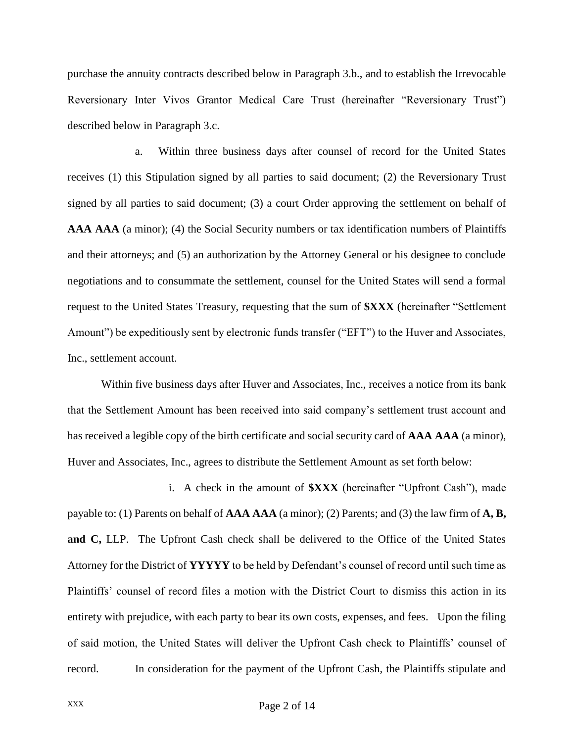purchase the annuity contracts described below in Paragraph 3.b., and to establish the Irrevocable Reversionary Inter Vivos Grantor Medical Care Trust (hereinafter "Reversionary Trust") described below in Paragraph 3.c.

a. Within three business days after counsel of record for the United States receives (1) this Stipulation signed by all parties to said document; (2) the Reversionary Trust signed by all parties to said document; (3) a court Order approving the settlement on behalf of **AAA AAA** (a minor); (4) the Social Security numbers or tax identification numbers of Plaintiffs and their attorneys; and (5) an authorization by the Attorney General or his designee to conclude negotiations and to consummate the settlement, counsel for the United States will send a formal request to the United States Treasury, requesting that the sum of **\$XXX** (hereinafter "Settlement Amount") be expeditiously sent by electronic funds transfer ("EFT") to the Huver and Associates, Inc., settlement account.

Within five business days after Huver and Associates, Inc., receives a notice from its bank that the Settlement Amount has been received into said company's settlement trust account and has received a legible copy of the birth certificate and social security card of **AAA AAA** (a minor), Huver and Associates, Inc., agrees to distribute the Settlement Amount as set forth below:

i. A check in the amount of **\$XXX** (hereinafter "Upfront Cash"), made payable to: (1) Parents on behalf of **AAA AAA** (a minor); (2) Parents; and (3) the law firm of **A, B, and C,** LLP. The Upfront Cash check shall be delivered to the Office of the United States Attorney for the District of **YYYYY** to be held by Defendant's counsel of record until such time as Plaintiffs' counsel of record files a motion with the District Court to dismiss this action in its entirety with prejudice, with each party to bear its own costs, expenses, and fees. Upon the filing of said motion, the United States will deliver the Upfront Cash check to Plaintiffs' counsel of record. In consideration for the payment of the Upfront Cash, the Plaintiffs stipulate and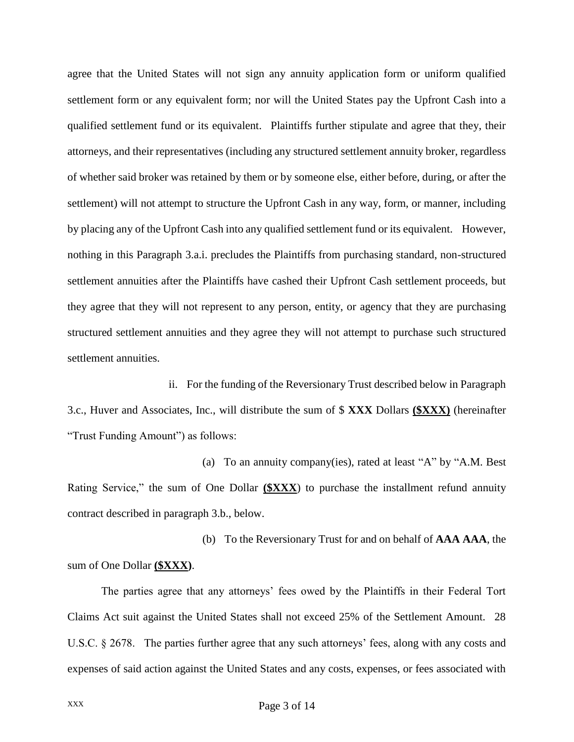agree that the United States will not sign any annuity application form or uniform qualified settlement form or any equivalent form; nor will the United States pay the Upfront Cash into a qualified settlement fund or its equivalent. Plaintiffs further stipulate and agree that they, their attorneys, and their representatives (including any structured settlement annuity broker, regardless of whether said broker was retained by them or by someone else, either before, during, or after the settlement) will not attempt to structure the Upfront Cash in any way, form, or manner, including by placing any of the Upfront Cash into any qualified settlement fund or its equivalent. However, nothing in this Paragraph 3.a.i. precludes the Plaintiffs from purchasing standard, non-structured settlement annuities after the Plaintiffs have cashed their Upfront Cash settlement proceeds, but they agree that they will not represent to any person, entity, or agency that they are purchasing structured settlement annuities and they agree they will not attempt to purchase such structured settlement annuities.

ii. For the funding of the Reversionary Trust described below in Paragraph 3.c., Huver and Associates, Inc., will distribute the sum of \$ **XXX** Dollars **(\$XXX)** (hereinafter "Trust Funding Amount") as follows:

(a) To an annuity company(ies), rated at least "A" by "A.M. Best Rating Service," the sum of One Dollar **(\$XXX**) to purchase the installment refund annuity contract described in paragraph 3.b., below.

(b) To the Reversionary Trust for and on behalf of **AAA AAA**, the sum of One Dollar **(\$XXX)**.

The parties agree that any attorneys' fees owed by the Plaintiffs in their Federal Tort Claims Act suit against the United States shall not exceed 25% of the Settlement Amount. 28 U.S.C. § 2678. The parties further agree that any such attorneys' fees, along with any costs and expenses of said action against the United States and any costs, expenses, or fees associated with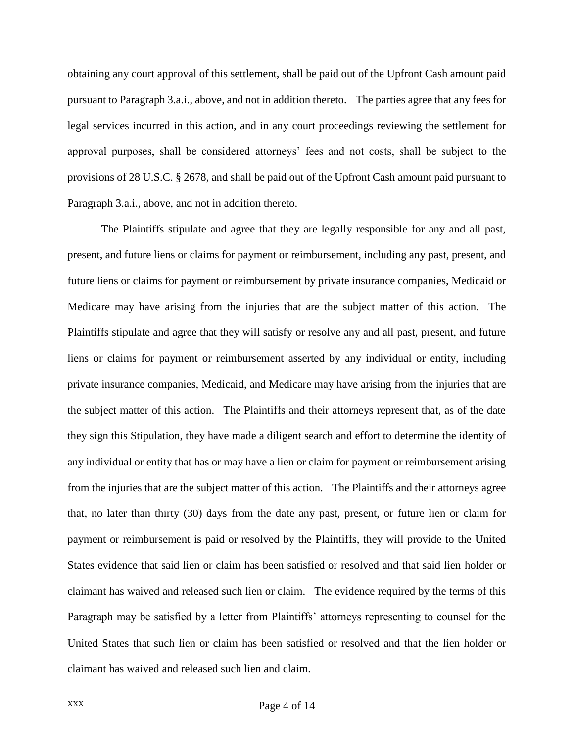obtaining any court approval of this settlement, shall be paid out of the Upfront Cash amount paid pursuant to Paragraph 3.a.i., above, and not in addition thereto. The parties agree that any fees for legal services incurred in this action, and in any court proceedings reviewing the settlement for approval purposes, shall be considered attorneys' fees and not costs, shall be subject to the provisions of 28 U.S.C. § 2678, and shall be paid out of the Upfront Cash amount paid pursuant to Paragraph 3.a.i., above, and not in addition thereto.

The Plaintiffs stipulate and agree that they are legally responsible for any and all past, present, and future liens or claims for payment or reimbursement, including any past, present, and future liens or claims for payment or reimbursement by private insurance companies, Medicaid or Medicare may have arising from the injuries that are the subject matter of this action. The Plaintiffs stipulate and agree that they will satisfy or resolve any and all past, present, and future liens or claims for payment or reimbursement asserted by any individual or entity, including private insurance companies, Medicaid, and Medicare may have arising from the injuries that are the subject matter of this action. The Plaintiffs and their attorneys represent that, as of the date they sign this Stipulation, they have made a diligent search and effort to determine the identity of any individual or entity that has or may have a lien or claim for payment or reimbursement arising from the injuries that are the subject matter of this action. The Plaintiffs and their attorneys agree that, no later than thirty (30) days from the date any past, present, or future lien or claim for payment or reimbursement is paid or resolved by the Plaintiffs, they will provide to the United States evidence that said lien or claim has been satisfied or resolved and that said lien holder or claimant has waived and released such lien or claim. The evidence required by the terms of this Paragraph may be satisfied by a letter from Plaintiffs' attorneys representing to counsel for the United States that such lien or claim has been satisfied or resolved and that the lien holder or claimant has waived and released such lien and claim.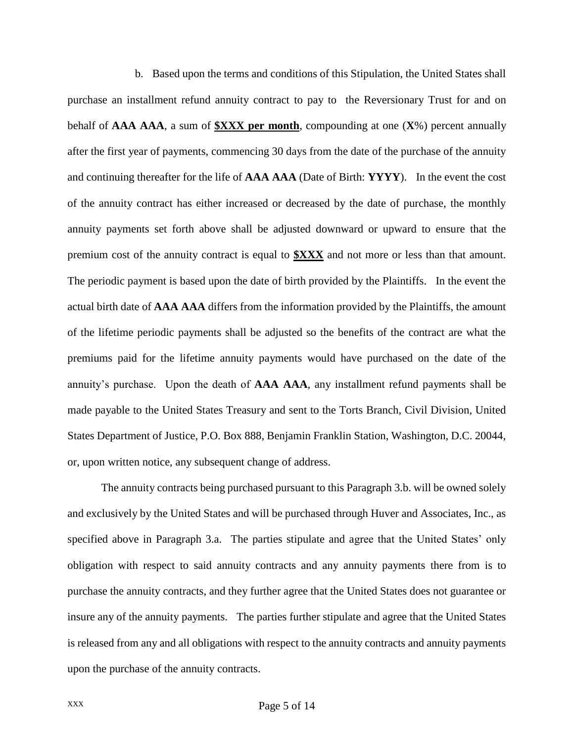b. Based upon the terms and conditions of this Stipulation, the United States shall purchase an installment refund annuity contract to pay to the Reversionary Trust for and on behalf of **AAA AAA**, a sum of **\$XXX per month**, compounding at one (**X**%) percent annually after the first year of payments, commencing 30 days from the date of the purchase of the annuity and continuing thereafter for the life of **AAA AAA** (Date of Birth: **YYYY**). In the event the cost of the annuity contract has either increased or decreased by the date of purchase, the monthly annuity payments set forth above shall be adjusted downward or upward to ensure that the premium cost of the annuity contract is equal to **\$XXX** and not more or less than that amount. The periodic payment is based upon the date of birth provided by the Plaintiffs. In the event the actual birth date of **AAA AAA** differs from the information provided by the Plaintiffs, the amount of the lifetime periodic payments shall be adjusted so the benefits of the contract are what the premiums paid for the lifetime annuity payments would have purchased on the date of the annuity's purchase. Upon the death of **AAA AAA**, any installment refund payments shall be made payable to the United States Treasury and sent to the Torts Branch, Civil Division, United States Department of Justice, P.O. Box 888, Benjamin Franklin Station, Washington, D.C. 20044, or, upon written notice, any subsequent change of address.

The annuity contracts being purchased pursuant to this Paragraph 3.b. will be owned solely and exclusively by the United States and will be purchased through Huver and Associates, Inc., as specified above in Paragraph 3.a. The parties stipulate and agree that the United States' only obligation with respect to said annuity contracts and any annuity payments there from is to purchase the annuity contracts, and they further agree that the United States does not guarantee or insure any of the annuity payments. The parties further stipulate and agree that the United States is released from any and all obligations with respect to the annuity contracts and annuity payments upon the purchase of the annuity contracts.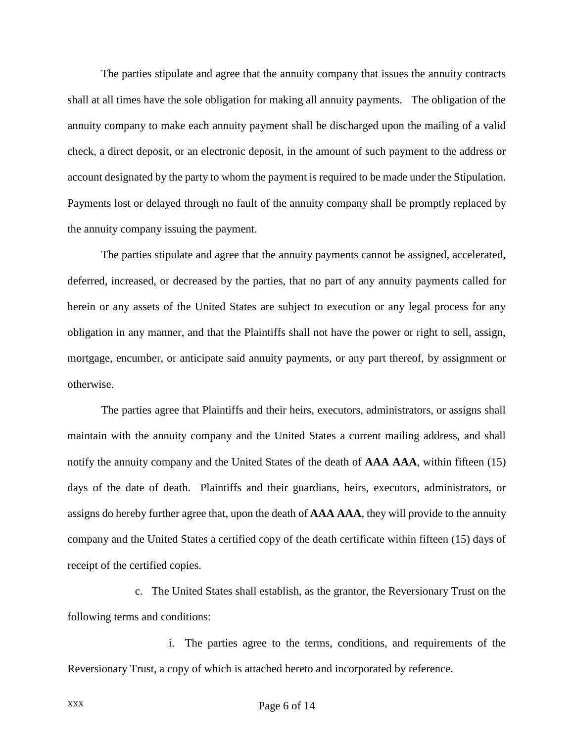The parties stipulate and agree that the annuity company that issues the annuity contracts shall at all times have the sole obligation for making all annuity payments. The obligation of the annuity company to make each annuity payment shall be discharged upon the mailing of a valid check, a direct deposit, or an electronic deposit, in the amount of such payment to the address or account designated by the party to whom the payment is required to be made under the Stipulation. Payments lost or delayed through no fault of the annuity company shall be promptly replaced by the annuity company issuing the payment.

The parties stipulate and agree that the annuity payments cannot be assigned, accelerated, deferred, increased, or decreased by the parties, that no part of any annuity payments called for herein or any assets of the United States are subject to execution or any legal process for any obligation in any manner, and that the Plaintiffs shall not have the power or right to sell, assign, mortgage, encumber, or anticipate said annuity payments, or any part thereof, by assignment or otherwise.

The parties agree that Plaintiffs and their heirs, executors, administrators, or assigns shall maintain with the annuity company and the United States a current mailing address, and shall notify the annuity company and the United States of the death of **AAA AAA**, within fifteen (15) days of the date of death. Plaintiffs and their guardians, heirs, executors, administrators, or assigns do hereby further agree that, upon the death of **AAA AAA**, they will provide to the annuity company and the United States a certified copy of the death certificate within fifteen (15) days of receipt of the certified copies.

c. The United States shall establish, as the grantor, the Reversionary Trust on the following terms and conditions:

i. The parties agree to the terms, conditions, and requirements of the Reversionary Trust, a copy of which is attached hereto and incorporated by reference.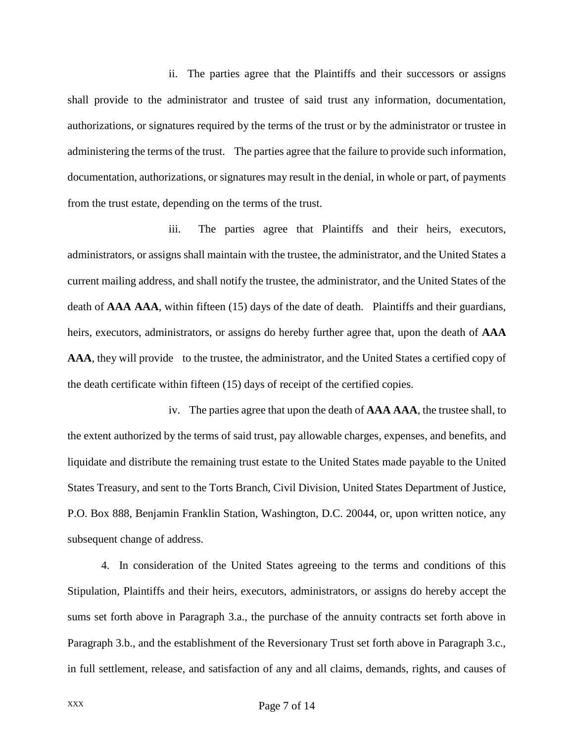ii. The parties agree that the Plaintiffs and their successors or assigns shall provide to the administrator and trustee of said trust any information, documentation, authorizations, or signatures required by the terms of the trust or by the administrator or trustee in administering the terms of the trust. The parties agree that the failure to provide such information, documentation, authorizations, or signatures may result in the denial, in whole or part, of payments from the trust estate, depending on the terms of the trust.

iii. The parties agree that Plaintiffs and their heirs, executors, administrators, or assigns shall maintain with the trustee, the administrator, and the United States a current mailing address, and shall notify the trustee, the administrator, and the United States of the death of **AAA AAA**, within fifteen (15) days of the date of death. Plaintiffs and their guardians, heirs, executors, administrators, or assigns do hereby further agree that, upon the death of **AAA AAA**, they will provide to the trustee, the administrator, and the United States a certified copy of the death certificate within fifteen (15) days of receipt of the certified copies.

iv. The parties agree that upon the death of **AAA AAA**, the trustee shall, to the extent authorized by the terms of said trust, pay allowable charges, expenses, and benefits, and liquidate and distribute the remaining trust estate to the United States made payable to the United States Treasury, and sent to the Torts Branch, Civil Division, United States Department of Justice, P.O. Box 888, Benjamin Franklin Station, Washington, D.C. 20044, or, upon written notice, any subsequent change of address.

4. In consideration of the United States agreeing to the terms and conditions of this Stipulation, Plaintiffs and their heirs, executors, administrators, or assigns do hereby accept the sums set forth above in Paragraph 3.a., the purchase of the annuity contracts set forth above in Paragraph 3.b., and the establishment of the Reversionary Trust set forth above in Paragraph 3.c., in full settlement, release, and satisfaction of any and all claims, demands, rights, and causes of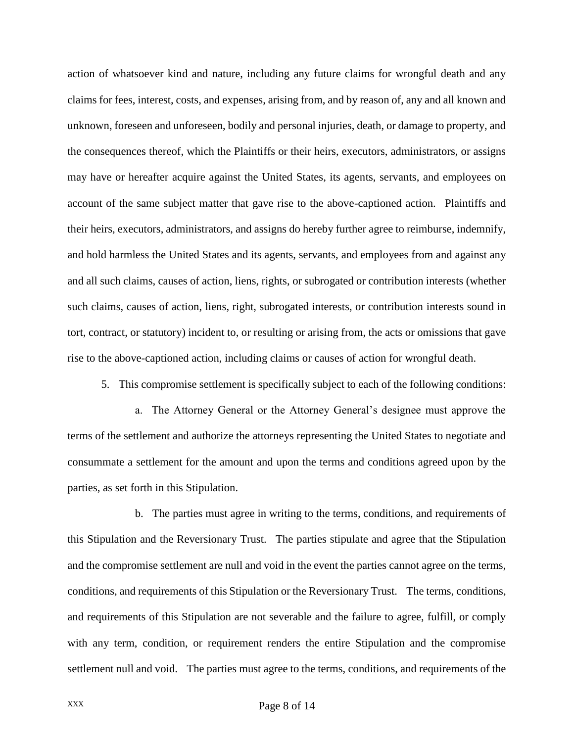action of whatsoever kind and nature, including any future claims for wrongful death and any claims for fees, interest, costs, and expenses, arising from, and by reason of, any and all known and unknown, foreseen and unforeseen, bodily and personal injuries, death, or damage to property, and the consequences thereof, which the Plaintiffs or their heirs, executors, administrators, or assigns may have or hereafter acquire against the United States, its agents, servants, and employees on account of the same subject matter that gave rise to the above-captioned action. Plaintiffs and their heirs, executors, administrators, and assigns do hereby further agree to reimburse, indemnify, and hold harmless the United States and its agents, servants, and employees from and against any and all such claims, causes of action, liens, rights, or subrogated or contribution interests (whether such claims, causes of action, liens, right, subrogated interests, or contribution interests sound in tort, contract, or statutory) incident to, or resulting or arising from, the acts or omissions that gave rise to the above-captioned action, including claims or causes of action for wrongful death.

5. This compromise settlement is specifically subject to each of the following conditions:

a. The Attorney General or the Attorney General's designee must approve the terms of the settlement and authorize the attorneys representing the United States to negotiate and consummate a settlement for the amount and upon the terms and conditions agreed upon by the parties, as set forth in this Stipulation.

b. The parties must agree in writing to the terms, conditions, and requirements of this Stipulation and the Reversionary Trust. The parties stipulate and agree that the Stipulation and the compromise settlement are null and void in the event the parties cannot agree on the terms, conditions, and requirements of this Stipulation or the Reversionary Trust. The terms, conditions, and requirements of this Stipulation are not severable and the failure to agree, fulfill, or comply with any term, condition, or requirement renders the entire Stipulation and the compromise settlement null and void. The parties must agree to the terms, conditions, and requirements of the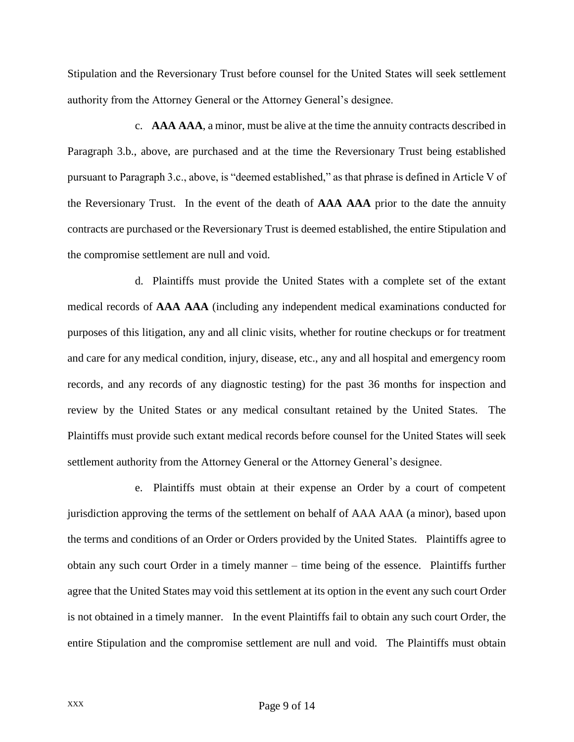Stipulation and the Reversionary Trust before counsel for the United States will seek settlement authority from the Attorney General or the Attorney General's designee.

c. **AAA AAA**, a minor, must be alive at the time the annuity contracts described in Paragraph 3.b., above, are purchased and at the time the Reversionary Trust being established pursuant to Paragraph 3.c., above, is "deemed established," as that phrase is defined in Article V of the Reversionary Trust. In the event of the death of **AAA AAA** prior to the date the annuity contracts are purchased or the Reversionary Trust is deemed established, the entire Stipulation and the compromise settlement are null and void.

d. Plaintiffs must provide the United States with a complete set of the extant medical records of **AAA AAA** (including any independent medical examinations conducted for purposes of this litigation, any and all clinic visits, whether for routine checkups or for treatment and care for any medical condition, injury, disease, etc., any and all hospital and emergency room records, and any records of any diagnostic testing) for the past 36 months for inspection and review by the United States or any medical consultant retained by the United States. The Plaintiffs must provide such extant medical records before counsel for the United States will seek settlement authority from the Attorney General or the Attorney General's designee.

e. Plaintiffs must obtain at their expense an Order by a court of competent jurisdiction approving the terms of the settlement on behalf of AAA AAA (a minor), based upon the terms and conditions of an Order or Orders provided by the United States. Plaintiffs agree to obtain any such court Order in a timely manner – time being of the essence. Plaintiffs further agree that the United States may void this settlement at its option in the event any such court Order is not obtained in a timely manner. In the event Plaintiffs fail to obtain any such court Order, the entire Stipulation and the compromise settlement are null and void. The Plaintiffs must obtain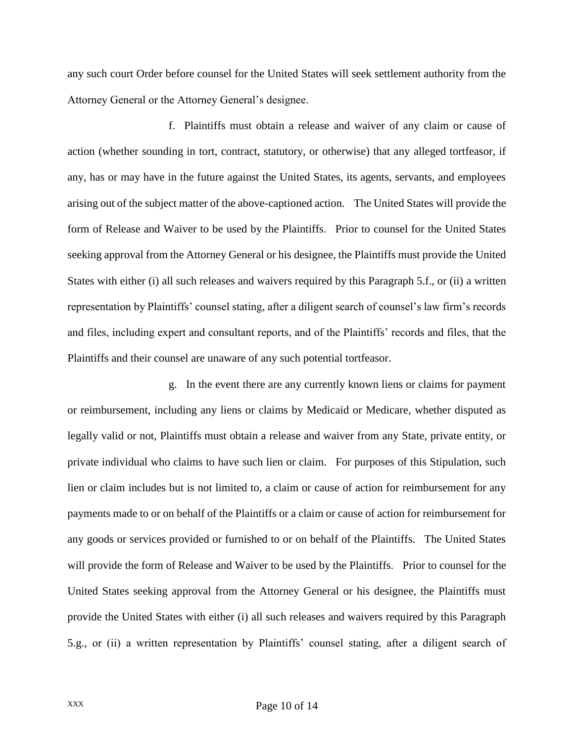any such court Order before counsel for the United States will seek settlement authority from the Attorney General or the Attorney General's designee.

f. Plaintiffs must obtain a release and waiver of any claim or cause of action (whether sounding in tort, contract, statutory, or otherwise) that any alleged tortfeasor, if any, has or may have in the future against the United States, its agents, servants, and employees arising out of the subject matter of the above-captioned action. The United States will provide the form of Release and Waiver to be used by the Plaintiffs. Prior to counsel for the United States seeking approval from the Attorney General or his designee, the Plaintiffs must provide the United States with either (i) all such releases and waivers required by this Paragraph 5.f., or (ii) a written representation by Plaintiffs' counsel stating, after a diligent search of counsel's law firm's records and files, including expert and consultant reports, and of the Plaintiffs' records and files, that the Plaintiffs and their counsel are unaware of any such potential tortfeasor.

g. In the event there are any currently known liens or claims for payment or reimbursement, including any liens or claims by Medicaid or Medicare, whether disputed as legally valid or not, Plaintiffs must obtain a release and waiver from any State, private entity, or private individual who claims to have such lien or claim. For purposes of this Stipulation, such lien or claim includes but is not limited to, a claim or cause of action for reimbursement for any payments made to or on behalf of the Plaintiffs or a claim or cause of action for reimbursement for any goods or services provided or furnished to or on behalf of the Plaintiffs. The United States will provide the form of Release and Waiver to be used by the Plaintiffs. Prior to counsel for the United States seeking approval from the Attorney General or his designee, the Plaintiffs must provide the United States with either (i) all such releases and waivers required by this Paragraph 5.g., or (ii) a written representation by Plaintiffs' counsel stating, after a diligent search of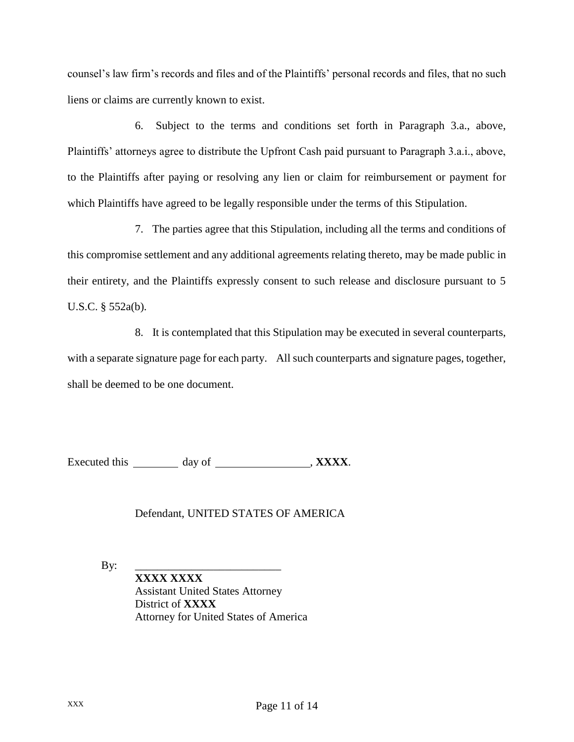counsel's law firm's records and files and of the Plaintiffs' personal records and files, that no such liens or claims are currently known to exist.

6. Subject to the terms and conditions set forth in Paragraph 3.a., above, Plaintiffs' attorneys agree to distribute the Upfront Cash paid pursuant to Paragraph 3.a.i., above, to the Plaintiffs after paying or resolving any lien or claim for reimbursement or payment for which Plaintiffs have agreed to be legally responsible under the terms of this Stipulation.

7. The parties agree that this Stipulation, including all the terms and conditions of this compromise settlement and any additional agreements relating thereto, may be made public in their entirety, and the Plaintiffs expressly consent to such release and disclosure pursuant to 5 U.S.C. § 552a(b).

8. It is contemplated that this Stipulation may be executed in several counterparts, with a separate signature page for each party. All such counterparts and signature pages, together, shall be deemed to be one document.

Executed this day of , **XXXX**.

## Defendant, UNITED STATES OF AMERICA

By: \_\_\_\_\_\_\_\_\_\_\_\_\_\_\_\_\_\_\_\_\_\_\_\_\_\_

**XXXX XXXX** Assistant United States Attorney District of **XXXX** Attorney for United States of America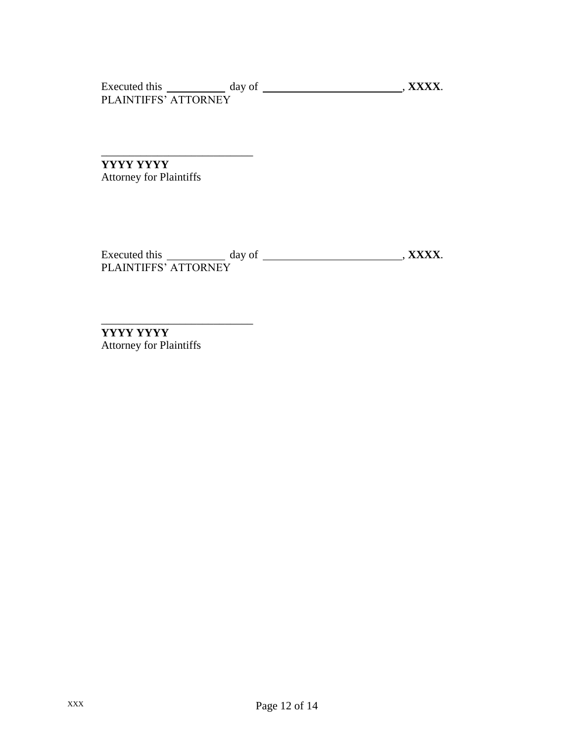Executed this day of , **XXXX**. PLAINTIFFS' ATTORNEY

**YYYY YYYY**  Attorney for Plaintiffs

\_\_\_\_\_\_\_\_\_\_\_\_\_\_\_\_\_\_\_\_\_\_\_\_\_\_\_

Executed this day of , **XXXX**. PLAINTIFFS' ATTORNEY

 $\overline{\phantom{a}}$  , where  $\overline{\phantom{a}}$ 

**YYYY YYYY** Attorney for Plaintiffs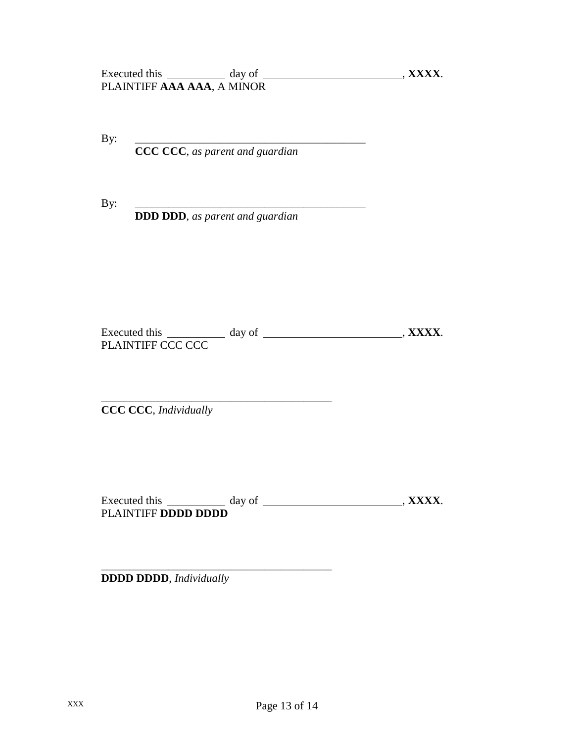By: \_\_\_\_\_\_\_\_\_\_\_\_\_\_\_\_\_\_\_\_\_\_\_\_\_\_\_\_\_\_\_\_\_\_\_\_\_\_\_\_\_

**CCC CCC**, *as parent and guardian*

By: \_\_\_\_\_\_\_\_\_\_\_\_\_\_\_\_\_\_\_\_\_\_\_\_\_\_\_\_\_\_\_\_\_\_\_\_\_\_\_\_\_

**DDD DDD**, *as parent and guardian*

Executed this day of , **XXXX**. PLAINTIFF CCC CCC

\_\_\_\_\_\_\_\_\_\_\_\_\_\_\_\_\_\_\_\_\_\_\_\_\_\_\_\_\_\_\_\_\_\_\_\_\_\_\_\_\_ **CCC CCC**, *Individually*

Executed this day of , **XXXX**. PLAINTIFF **DDDD DDDD**

**DDDD DDDD**, *Individually*

\_\_\_\_\_\_\_\_\_\_\_\_\_\_\_\_\_\_\_\_\_\_\_\_\_\_\_\_\_\_\_\_\_\_\_\_\_\_\_\_\_